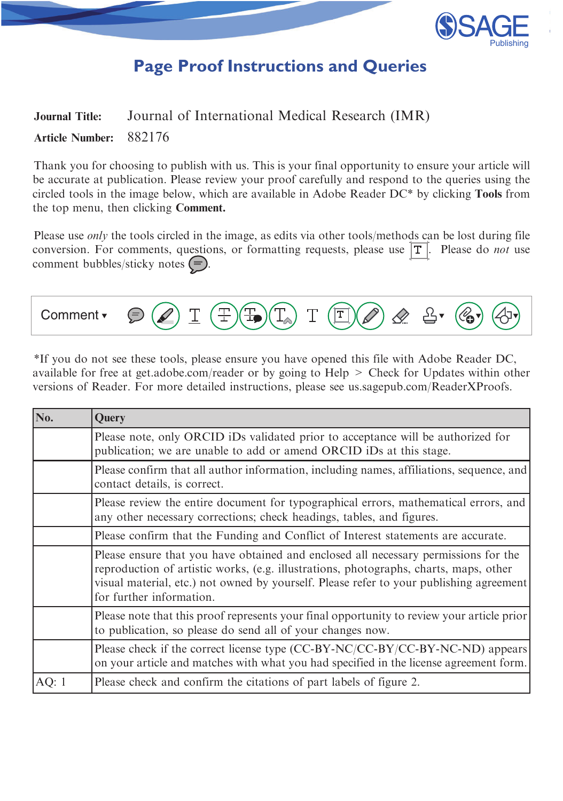

# **Page Proof Instructions and Queries**

## <span id="page-0-0"></span>Journal Title: Journal of International Medical Research (IMR) Article Number: 882176

Thank you for choosing to publish with us. This is your final opportunity to ensure your article will be accurate at publication. Please review your proof carefully and respond to the queries using the circled tools in the image below, which are available in Adobe Reader DC\* by clicking Tools from the top menu, then clicking Comment.

Please use *only* the tools circled in the image, as edits via other tools/methods can be lost during file conversion. For comments, questions, or formatting requests, please use  $\boxed{\mathbf{T}}$ . Please do *not* use comment bubbles/sticky notes  $\left( =\right)$ .



\*If you do not see these tools, please ensure you have opened this file with Adobe Reader DC, available for free at get.adobe.com/reader or by going to Help > Check for Updates within other versions of Reader. For more detailed instructions, please see us.sagepub.com/ReaderXProofs.

| No.                                                                               | Query                                                                                                                                                                                                                                                                                               |  |
|-----------------------------------------------------------------------------------|-----------------------------------------------------------------------------------------------------------------------------------------------------------------------------------------------------------------------------------------------------------------------------------------------------|--|
|                                                                                   | Please note, only ORCID iDs validated prior to acceptance will be authorized for<br>publication; we are unable to add or amend ORCID iDs at this stage.                                                                                                                                             |  |
|                                                                                   | Please confirm that all author information, including names, affiliations, sequence, and<br>contact details, is correct.                                                                                                                                                                            |  |
|                                                                                   | Please review the entire document for typographical errors, mathematical errors, and<br>any other necessary corrections; check headings, tables, and figures.                                                                                                                                       |  |
| Please confirm that the Funding and Conflict of Interest statements are accurate. |                                                                                                                                                                                                                                                                                                     |  |
|                                                                                   | Please ensure that you have obtained and enclosed all necessary permissions for the<br>reproduction of artistic works, (e.g. illustrations, photographs, charts, maps, other<br>visual material, etc.) not owned by yourself. Please refer to your publishing agreement<br>for further information. |  |
|                                                                                   | Please note that this proof represents your final opportunity to review your article prior<br>to publication, so please do send all of your changes now.                                                                                                                                            |  |
|                                                                                   | Please check if the correct license type (CC-BY-NC/CC-BY/CC-BY-NC-ND) appears<br>on your article and matches with what you had specified in the license agreement form.                                                                                                                             |  |
| AQ: $1$                                                                           | Please check and confirm the citations of part labels of figure 2.                                                                                                                                                                                                                                  |  |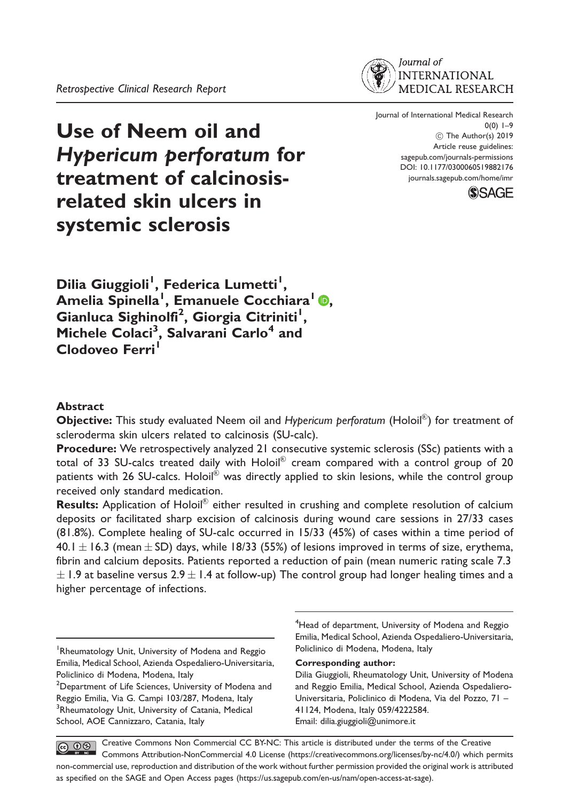Use of Neem oil and Hypericum perforatum for treatment of calcinosisrelated skin ulcers in systemic sclerosis

Journal of International Medical Research  $0(0)$  1–9 C The Author(s) 2019 Article reuse guidelines: [sagepub.com/journals-permissions](http://uk.sagepub.com/en-gb/journals-permissions) [DOI: 10.1177/0300060519882176](http://dx.doi.org/10.1177/0300060519882176) <journals.sagepub.com/home/imr>



Dilia Giuggioli<sup>I</sup>, Federica Lumetti<sup>I</sup>, Amelia Spinella<sup>1</sup>[,](https://orcid.org/0000-0002-0041-3695) Emanuele Cocchiara<sup>l</sup> D, Gianluca Sighinolfi<sup>2</sup>, Giorgia Citriniti<sup>1</sup>, Michele Colaci<sup>3</sup>, Salvarani Carlo<sup>4</sup> and Clodoveo Ferri<sup>1</sup>

#### Abstract

Objective: This study evaluated Neem oil and Hypericum perforatum (Holoil®) for treatment of scleroderma skin ulcers related to calcinosis (SU-calc).

Procedure: We retrospectively analyzed 21 consecutive systemic sclerosis (SSc) patients with a total of 33 SU-calcs treated daily with Holoil $^\circledR$  cream compared with a control group of 20 patients with 26 SU-calcs. Holoil $^\circledR$  was directly applied to skin lesions, while the control group received only standard medication.

Results: Application of Holoil $^{\circledR}$  either resulted in crushing and complete resolution of calcium deposits or facilitated sharp excision of calcinosis during wound care sessions in 27/33 cases (81.8%). Complete healing of SU-calc occurred in 15/33 (45%) of cases within a time period of 40.1  $\pm$  16.3 (mean  $\pm$  SD) days, while 18/33 (55%) of lesions improved in terms of size, erythema, fibrin and calcium deposits. Patients reported a reduction of pain (mean numeric rating scale 7.3  $\pm$  1.9 at baseline versus 2.9  $\pm$  1.4 at follow-up) The control group had longer healing times and a higher percentage of infections.

<sup>4</sup>Head of department, University of Modena and Reggio Emilia, Medical School, Azienda Ospedaliero-Universitaria, Policlinico di Modena, Modena, Italy

#### Corresponding author:

Dilia Giuggioli, Rheumatology Unit, University of Modena and Reggio Emilia, Medical School, Azienda Ospedaliero-Universitaria, Policlinico di Modena, Via del Pozzo, 71 – 41124, Modena, Italy 059/4222584. Email: [dilia.giuggioli@unimore.it](mailto:dilia.giuggioli@unimore.it)

Creative Commons Non Commercial CC BY-NC: This article is distributed under the terms of the Creative  $\circledcirc$   $\circledcirc$ Commons Attribution-NonCommercial 4.0 License (https://creativecommons.org/licenses/by-nc/4.0/) which permits non-commercial use, reproduction and distribution of the work without further permission provided the original work is attributed as specified on the SAGE and Open Access pages (https://us.sagepub.com/en-us/nam/open-access-at-sage).

<sup>&</sup>lt;sup>1</sup> Rheumatology Unit, University of Modena and Reggio Emilia, Medical School, Azienda Ospedaliero-Universitaria, Policlinico di Modena, Modena, Italy

<sup>&</sup>lt;sup>2</sup>Department of Life Sciences, University of Modena and Reggio Emilia, Via G. Campi 103/287, Modena, Italy <sup>3</sup>Rheumatology Unit, University of Catania, Medical School, AOE Cannizzaro, Catania, Italy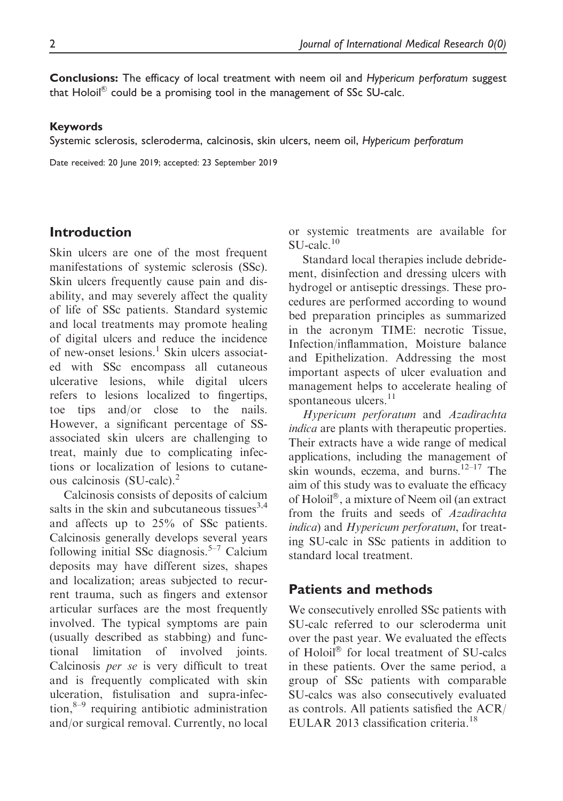Conclusions: The efficacy of local treatment with neem oil and Hypericum perforatum suggest that Holoil ${}^{\tiny{\textcircled{\tiny{R}}}}$  could be a promising tool in the management of SSc SU-calc.

#### Keywords

Systemic sclerosis, scleroderma, calcinosis, skin ulcers, neem oil, Hypericum perforatum

Date received: 20 June 2019; accepted: 23 September 2019

#### Introduction

Skin ulcers are one of the most frequent manifestations of systemic sclerosis (SSc). Skin ulcers frequently cause pain and disability, and may severely affect the quality of life of SSc patients. Standard systemic and local treatments may promote healing of digital ulcers and reduce the incidence of new-onset lesions.<sup>1</sup> Skin ulcers associated with SSc encompass all cutaneous ulcerative lesions, while digital ulcers refers to lesions localized to fingertips, toe tips and/or close to the nails. However, a significant percentage of SSassociated skin ulcers are challenging to treat, mainly due to complicating infections or localization of lesions to cutaneous calcinosis (SU-calc).<sup>2</sup>

Calcinosis consists of deposits of calcium salts in the skin and subcutaneous tissues $^{3,4}$ and affects up to 25% of SSc patients. Calcinosis generally develops several years following initial SSc diagnosis.<sup>5–7</sup> Calcium deposits may have different sizes, shapes and localization; areas subjected to recurrent trauma, such as fingers and extensor articular surfaces are the most frequently involved. The typical symptoms are pain (usually described as stabbing) and functional limitation of involved joints. Calcinosis per se is very difficult to treat and is frequently complicated with skin ulceration, fistulisation and supra-infection, $8-9$  requiring antibiotic administration and/or surgical removal. Currently, no local or systemic treatments are available for  $SU\text{-}calc.<sup>10</sup>$ 

Standard local therapies include debridement, disinfection and dressing ulcers with hydrogel or antiseptic dressings. These procedures are performed according to wound bed preparation principles as summarized in the acronym TIME: necrotic Tissue, Infection/inflammation, Moisture balance and Epithelization. Addressing the most important aspects of ulcer evaluation and management helps to accelerate healing of spontaneous ulcers.<sup>11</sup>

Hypericum perforatum and Azadirachta indica are plants with therapeutic properties. Their extracts have a wide range of medical applications, including the management of skin wounds, eczema, and burns.<sup>12–17</sup> The aim of this study was to evaluate the efficacy of Holoil®, a mixture of Neem oil (an extract from the fruits and seeds of Azadirachta indica) and Hypericum perforatum, for treating SU-calc in SSc patients in addition to standard local treatment.

#### Patients and methods

We consecutively enrolled SSc patients with SU-calc referred to our scleroderma unit over the past year. We evaluated the effects of Holoil® for local treatment of SU-calcs in these patients. Over the same period, a group of SSc patients with comparable SU-calcs was also consecutively evaluated as controls. All patients satisfied the ACR/ EULAR 2013 classification criteria.<sup>18</sup>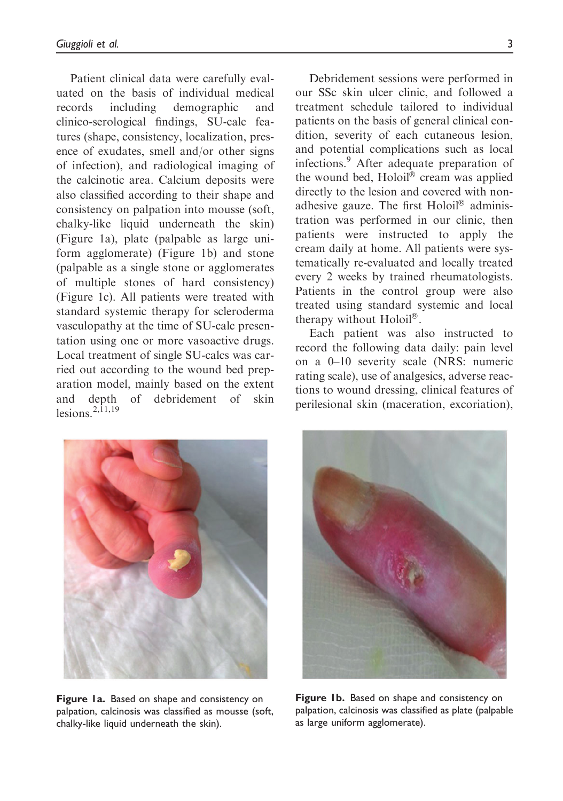Patient clinical data were carefully evaluated on the basis of individual medical records including demographic and clinico-serological findings, SU-calc features (shape, consistency, localization, presence of exudates, smell and/or other signs of infection), and radiological imaging of the calcinotic area. Calcium deposits were also classified according to their shape and consistency on palpation into mousse (soft, chalky-like liquid underneath the skin) (Figure 1a), plate (palpable as large uniform agglomerate) (Figure 1b) and stone (palpable as a single stone or agglomerates of multiple stones of hard consistency) (Figure 1c). All patients were treated with standard systemic therapy for scleroderma vasculopathy at the time of SU-calc presentation using one or more vasoactive drugs. Local treatment of single SU-calcs was carried out according to the wound bed preparation model, mainly based on the extent and depth of debridement of skin lesions  $2,\overline{1}1,19$ 

Debridement sessions were performed in our SSc skin ulcer clinic, and followed a treatment schedule tailored to individual patients on the basis of general clinical condition, severity of each cutaneous lesion, and potential complications such as local infections.<sup>9</sup> After adequate preparation of the wound bed, Holoil® cream was applied directly to the lesion and covered with nonadhesive gauze. The first Holoil® administration was performed in our clinic, then patients were instructed to apply the cream daily at home. All patients were systematically re-evaluated and locally treated every 2 weeks by trained rheumatologists. Patients in the control group were also treated using standard systemic and local therapy without Holoil®.

Each patient was also instructed to record the following data daily: pain level on a 0–10 severity scale (NRS: numeric rating scale), use of analgesics, adverse reactions to wound dressing, clinical features of perilesional skin (maceration, excoriation),



Figure 1a. Based on shape and consistency on palpation, calcinosis was classified as mousse (soft, chalky-like liquid underneath the skin).



Figure 1b. Based on shape and consistency on palpation, calcinosis was classified as plate (palpable as large uniform agglomerate).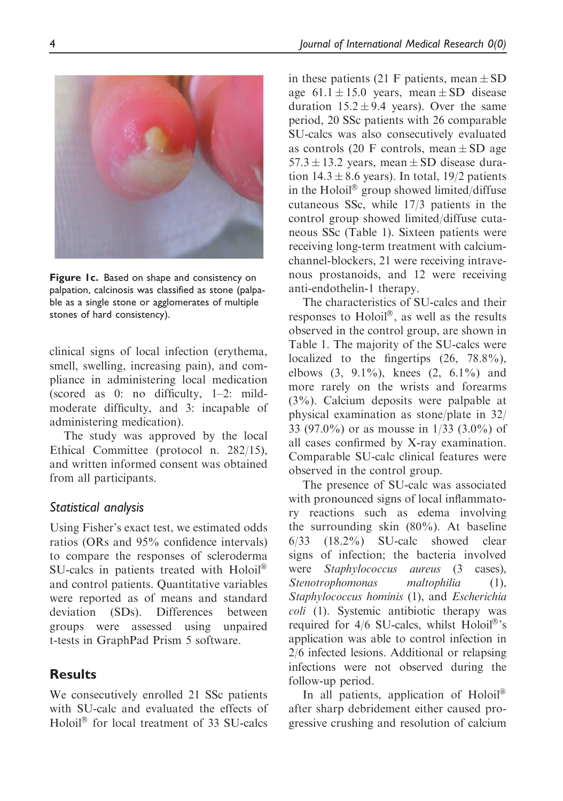Figure 1c. Based on shape and consistency on palpation, calcinosis was classified as stone (palpable as a single stone or agglomerates of multiple stones of hard consistency).

clinical signs of local infection (erythema, smell, swelling, increasing pain), and compliance in administering local medication (scored as 0: no difficulty, 1–2: mildmoderate difficulty, and 3: incapable of administering medication).

The study was approved by the local Ethical Committee (protocol n. 282/15), and written informed consent was obtained from all participants.

#### Statistical analysis

Using Fisher's exact test, we estimated odds ratios (ORs and 95% confidence intervals) to compare the responses of scleroderma SU-calcs in patients treated with Holoil® and control patients. Quantitative variables were reported as of means and standard deviation (SDs). Differences between groups were assessed using unpaired t-tests in GraphPad Prism 5 software.

## Results

We consecutively enrolled 21 SSc patients with SU-calc and evaluated the effects of Holoil<sup>®</sup> for local treatment of 33 SU-calcs

in these patients (21 F patients, mean  $\pm$  SD age  $61.1 \pm 15.0$  years, mean  $\pm$  SD disease duration  $15.2 \pm 9.4$  years). Over the same period, 20 SSc patients with 26 comparable SU-calcs was also consecutively evaluated as controls (20 F controls, mean  $\pm$  SD age  $57.3 \pm 13.2$  years, mean  $\pm$  SD disease duration  $14.3 \pm 8.6$  years). In total,  $19/2$  patients in the Holoil® group showed limited/diffuse cutaneous SSc, while 17/3 patients in the control group showed limited/diffuse cutaneous SSc (Table 1). Sixteen patients were receiving long-term treatment with calciumchannel-blockers, 21 were receiving intravenous prostanoids, and 12 were receiving anti-endothelin-1 therapy.

The characteristics of SU-calcs and their responses to  $Holoil^{\circledB}$ , as well as the results observed in the control group, are shown in Table 1. The majority of the SU-calcs were localized to the fingertips  $(26, 78.8\%)$ , elbows  $(3, 9.1\%)$ , knees  $(2, 6.1\%)$  and more rarely on the wrists and forearms (3%). Calcium deposits were palpable at physical examination as stone/plate in 32/ 33 (97.0%) or as mousse in 1/33 (3.0%) of all cases confirmed by X-ray examination. Comparable SU-calc clinical features were observed in the control group.

The presence of SU-calc was associated with pronounced signs of local inflammatory reactions such as edema involving the surrounding skin (80%). At baseline 6/33 (18.2%) SU-calc showed clear signs of infection; the bacteria involved were *Staphylococcus* aureus (3 cases), Stenotrophomonas maltophilia (1), Staphylococcus hominis (1), and Escherichia coli (1). Systemic antibiotic therapy was required for 4/6 SU-calcs, whilst Holoil®'s application was able to control infection in 2/6 infected lesions. Additional or relapsing infections were not observed during the follow-up period.

In all patients, application of Holoil<sup>®</sup> after sharp debridement either caused progressive crushing and resolution of calcium



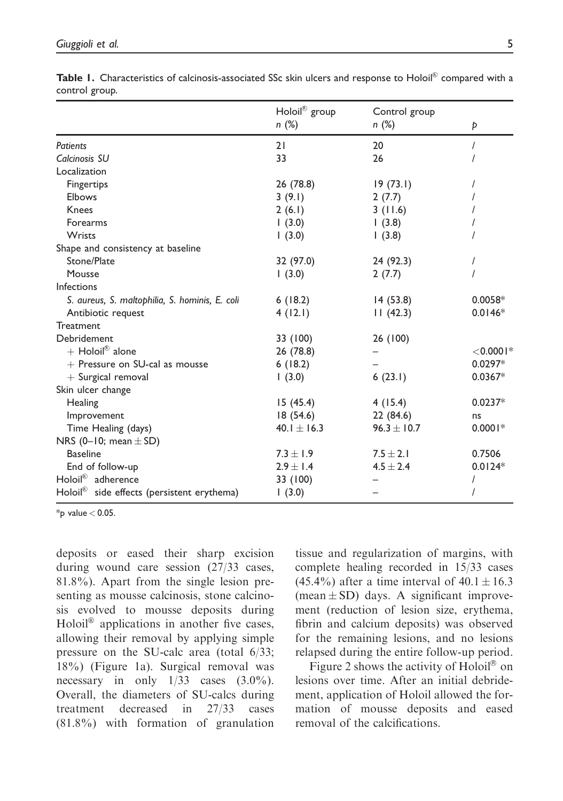|                                                        | Holoil® group   | Control group |              |
|--------------------------------------------------------|-----------------|---------------|--------------|
|                                                        | n(%)            | n(%)          | Þ            |
| <b>Patients</b>                                        | 21              | 20            |              |
| Calcinosis SU                                          | 33              | 26            |              |
| Localization                                           |                 |               |              |
| Fingertips                                             | 26 (78.8)       | 19(73.1)      |              |
| Elbows                                                 | 3(9.1)          | 2(7.7)        |              |
| Knees                                                  | 2(6.1)          | 3(11.6)       |              |
| <b>Forearms</b>                                        | (3.0)           | (3.8)         |              |
| <b>Wrists</b>                                          | (3.0)           | 1(3.8)        |              |
| Shape and consistency at baseline                      |                 |               |              |
| Stone/Plate                                            | 32 (97.0)       | 24 (92.3)     |              |
| Mousse                                                 | 1(3.0)          | 2(7.7)        |              |
| Infections                                             |                 |               |              |
| S. aureus, S. maltophilia, S. hominis, E. coli         | 6(18.2)         | 14(53.8)      | $0.0058*$    |
| Antibiotic request                                     | 4(12.1)         | 11(42.3)      | $0.0146*$    |
| Treatment                                              |                 |               |              |
| Debridement                                            | 33 (100)        | 26 (100)      |              |
| $+$ Holoil® alone                                      | 26 (78.8)       |               | $<$ 0.000 l* |
| + Pressure on SU-cal as mousse                         | 6(18.2)         |               | $0.0297*$    |
| $+$ Surgical removal                                   | (3.0)           | 6(23.1)       | $0.0367*$    |
| Skin ulcer change                                      |                 |               |              |
| Healing                                                | 15(45.4)        | 4(15.4)       | $0.0237*$    |
| Improvement                                            | 18(54.6)        | 22(84.6)      | ns           |
| Time Healing (days)                                    | 40.1 $\pm$ 16.3 | $96.3 + 10.7$ | $0.0001*$    |
| NRS (0-10; mean $\pm$ SD)                              |                 |               |              |
| <b>Baseline</b>                                        | $7.3 + 1.9$     | $7.5 \pm 2.1$ | 0.7506       |
| End of follow-up                                       | $2.9 \pm 1.4$   | $4.5 \pm 2.4$ | $0.0124*$    |
| Holoil <sup>®</sup> adherence                          | 33 (100)        |               |              |
| Holoil <sup>®</sup> side effects (persistent erythema) | 1(3.0)          |               |              |

**Table 1.** Characteristics of calcinosis-associated SSc skin ulcers and response to Holoil® compared with a control group.

 $*_{p}$  value  $< 0.05$ .

deposits or eased their sharp excision during wound care session (27/33 cases, 81.8%). Apart from the single lesion presenting as mousse calcinosis, stone calcinosis evolved to mousse deposits during Holoil<sup>®</sup> applications in another five cases, allowing their removal by applying simple pressure on the SU-calc area (total 6/33; 18%) (Figure 1a). Surgical removal was necessary in only  $1/33$  cases  $(3.0\%)$ . Overall, the diameters of SU-calcs during treatment decreased in 27/33 cases (81.8%) with formation of granulation

tissue and regularization of margins, with complete healing recorded in 15/33 cases (45.4%) after a time interval of  $40.1 \pm 16.3$ (mean  $\pm$  SD) days. A significant improvement (reduction of lesion size, erythema, fibrin and calcium deposits) was observed for the remaining lesions, and no lesions relapsed during the entire follow-up period.

Figure 2 shows the activity of Holoil<sup>®</sup> on lesions over time. After an initial debridement, application of Holoil allowed the formation of mousse deposits and eased removal of the calcifications.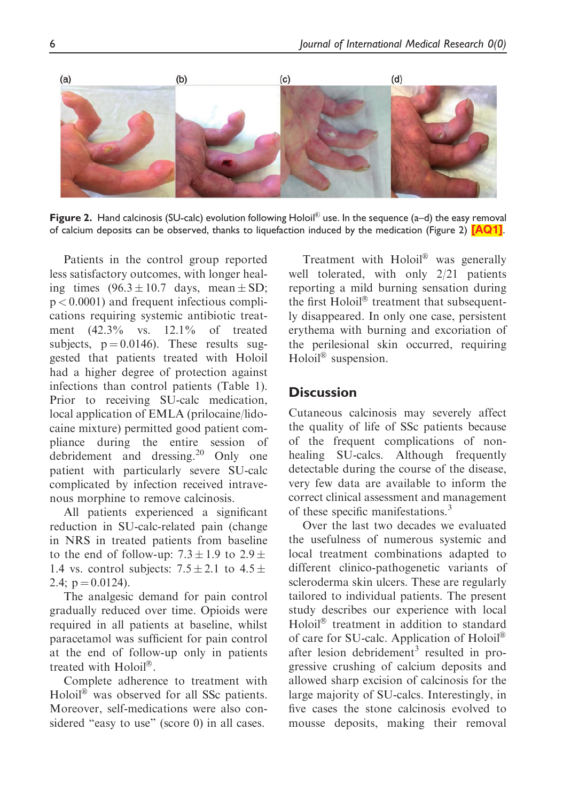<span id="page-6-0"></span>

Figure 2. Hand calcinosis (SU-calc) evolution following Holoil® use. In the sequence (a–d) the easy removal of calcium deposits can be observed, thanks to liquefaction induced by the medication (Figure 2) [\[AQ1\]](#page-0-0).

Patients in the control group reported less satisfactory outcomes, with longer healing times  $(96.3 \pm 10.7 \text{ days}, \text{mean} \pm \text{SD})$ ;  $p < 0.0001$ ) and frequent infectious complications requiring systemic antibiotic treatment (42.3% vs. 12.1% of treated subjects,  $p = 0.0146$ . These results suggested that patients treated with Holoil had a higher degree of protection against infections than control patients (Table 1). Prior to receiving SU-calc medication, local application of EMLA (prilocaine/lidocaine mixture) permitted good patient compliance during the entire session of debridement and dressing.<sup>20</sup> Only one patient with particularly severe SU-calc complicated by infection received intravenous morphine to remove calcinosis.

All patients experienced a significant reduction in SU-calc-related pain (change in NRS in treated patients from baseline to the end of follow-up:  $7.3 \pm 1.9$  to  $2.9 \pm$ 1.4 vs. control subjects:  $7.5 \pm 2.1$  to  $4.5 \pm$ 2.4;  $p = 0.0124$ ).

The analgesic demand for pain control gradually reduced over time. Opioids were required in all patients at baseline, whilst paracetamol was sufficient for pain control at the end of follow-up only in patients treated with Holoil®.

Complete adherence to treatment with Holoil® was observed for all SSc patients. Moreover, self-medications were also considered "easy to use" (score 0) in all cases.

Treatment with Holoil® was generally well tolerated, with only 2/21 patients reporting a mild burning sensation during the first Holoil® treatment that subsequently disappeared. In only one case, persistent erythema with burning and excoriation of the perilesional skin occurred, requiring Holoil® suspension.

### **Discussion**

Cutaneous calcinosis may severely affect the quality of life of SSc patients because of the frequent complications of nonhealing SU-calcs. Although frequently detectable during the course of the disease, very few data are available to inform the correct clinical assessment and management of these specific manifestations.<sup>3</sup>

Over the last two decades we evaluated the usefulness of numerous systemic and local treatment combinations adapted to different clinico-pathogenetic variants of scleroderma skin ulcers. These are regularly tailored to individual patients. The present study describes our experience with local Holoil® treatment in addition to standard of care for SU-calc. Application of Holoil® after lesion debridement<sup>3</sup> resulted in progressive crushing of calcium deposits and allowed sharp excision of calcinosis for the large majority of SU-calcs. Interestingly, in five cases the stone calcinosis evolved to mousse deposits, making their removal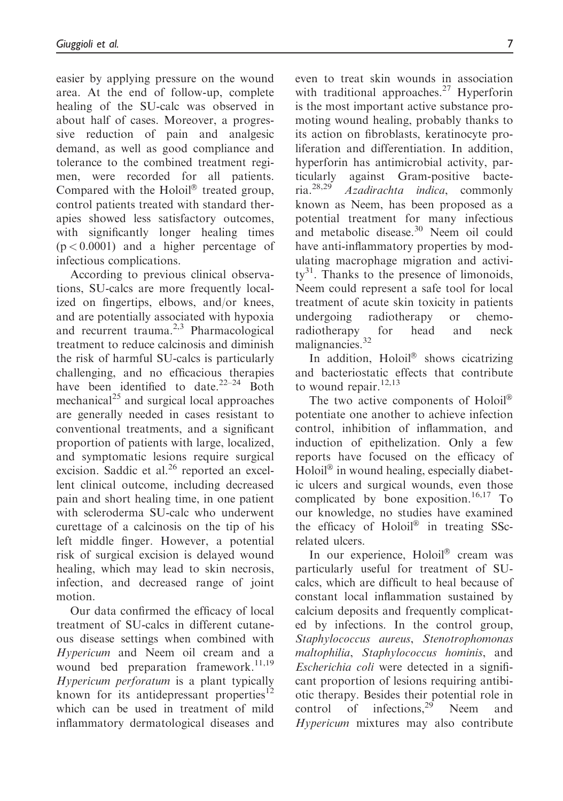easier by applying pressure on the wound area. At the end of follow-up, complete healing of the SU-calc was observed in about half of cases. Moreover, a progressive reduction of pain and analgesic demand, as well as good compliance and tolerance to the combined treatment regimen, were recorded for all patients. Compared with the Holoil® treated group, control patients treated with standard therapies showed less satisfactory outcomes, with significantly longer healing times  $(p < 0.0001)$  and a higher percentage of infectious complications.

According to previous clinical observations, SU-calcs are more frequently localized on fingertips, elbows, and/or knees, and are potentially associated with hypoxia and recurrent trauma. $2,3$  Pharmacological treatment to reduce calcinosis and diminish the risk of harmful SU-calcs is particularly challenging, and no efficacious therapies have been identified to date.<sup>22–24</sup> Both mechanical<sup>25</sup> and surgical local approaches are generally needed in cases resistant to conventional treatments, and a significant proportion of patients with large, localized, and symptomatic lesions require surgical excision. Saddic et al. $26$  reported an excellent clinical outcome, including decreased pain and short healing time, in one patient with scleroderma SU-calc who underwent curettage of a calcinosis on the tip of his left middle finger. However, a potential risk of surgical excision is delayed wound healing, which may lead to skin necrosis, infection, and decreased range of joint motion.

Our data confirmed the efficacy of local treatment of SU-calcs in different cutaneous disease settings when combined with Hypericum and Neem oil cream and a wound bed preparation framework.<sup>11,19</sup> Hypericum perforatum is a plant typically known for its antidepressant properties $^{12}$ which can be used in treatment of mild inflammatory dermatological diseases and

even to treat skin wounds in association with traditional approaches.<sup>27</sup> Hyperforin is the most important active substance promoting wound healing, probably thanks to its action on fibroblasts, keratinocyte proliferation and differentiation. In addition, hyperforin has antimicrobial activity, particularly against Gram-positive bacteria.28,29 Azadirachta indica, commonly known as Neem, has been proposed as a potential treatment for many infectious and metabolic disease. $30$  Neem oil could have anti-inflammatory properties by modulating macrophage migration and activi $ty^{31}$ . Thanks to the presence of limonoids, Neem could represent a safe tool for local treatment of acute skin toxicity in patients undergoing radiotherapy or chemoradiotherapy for head and neck malignancies.<sup>32</sup>

In addition, Holoil® shows cicatrizing and bacteriostatic effects that contribute to wound repair.<sup>12,13</sup>

The two active components of  $Holoi^{\circledR}$ potentiate one another to achieve infection control, inhibition of inflammation, and induction of epithelization. Only a few reports have focused on the efficacy of Holoil® in wound healing, especially diabetic ulcers and surgical wounds, even those complicated by bone exposition.<sup>16,17</sup> To our knowledge, no studies have examined the efficacy of Holoil® in treating SScrelated ulcers.

In our experience, Holoil® cream was particularly useful for treatment of SUcalcs, which are difficult to heal because of constant local inflammation sustained by calcium deposits and frequently complicated by infections. In the control group, Staphylococcus aureus, Stenotrophomonas maltophilia, Staphylococcus hominis, and Escherichia coli were detected in a significant proportion of lesions requiring antibiotic therapy. Besides their potential role in control of infections, $29$  Neem and Hypericum mixtures may also contribute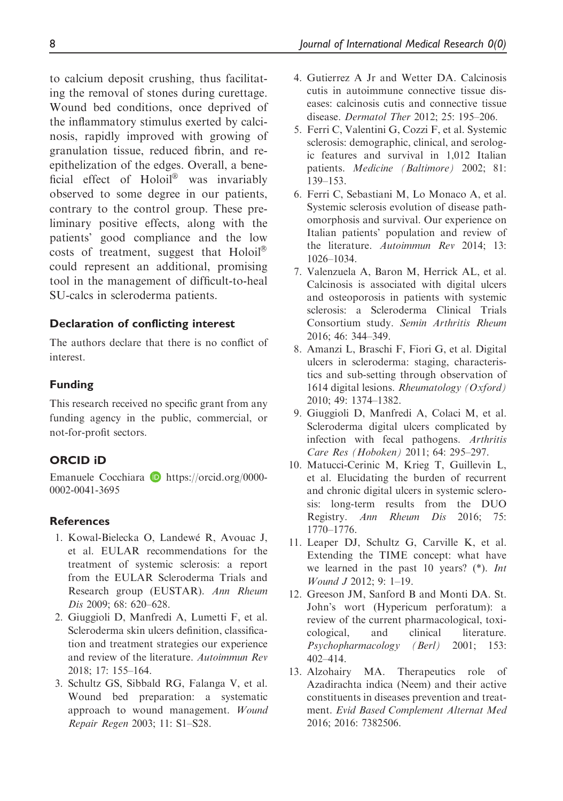to calcium deposit crushing, thus facilitating the removal of stones during curettage. Wound bed conditions, once deprived of the inflammatory stimulus exerted by calcinosis, rapidly improved with growing of granulation tissue, reduced fibrin, and reepithelization of the edges. Overall, a beneficial effect of Holoil<sup>®</sup> was invariably observed to some degree in our patients, contrary to the control group. These preliminary positive effects, along with the patients' good compliance and the low costs of treatment, suggest that  $Holoi^{\otimes}$ could represent an additional, promising tool in the management of difficult-to-heal SU-calcs in scleroderma patients.

#### Declaration of conflicting interest

The authors declare that there is no conflict of interest.

#### Funding

This research received no specific grant from any funding agency in the public, commercial, or not-for-profit sectors.

#### ORCID iD

Emanuele Cocchiara **b** [https://orcid.org/0000-](https://orcid.org/0000-0002-0041-3695) [0002-0041-3695](https://orcid.org/0000-0002-0041-3695)

#### **References**

- 1. Kowal-Bielecka O, Landewé R, Avouac J, et al. EULAR recommendations for the treatment of systemic sclerosis: a report from the EULAR Scleroderma Trials and Research group (EUSTAR). Ann Rheum Dis 2009; 68: 620–628.
- 2. Giuggioli D, Manfredi A, Lumetti F, et al. Scleroderma skin ulcers definition, classification and treatment strategies our experience and review of the literature. Autoimmun Rev 2018; 17: 155–164.
- 3. Schultz GS, Sibbald RG, Falanga V, et al. Wound bed preparation: a systematic approach to wound management. Wound Repair Regen 2003; 11: S1–S28.
- 4. Gutierrez A Jr and Wetter DA. Calcinosis cutis in autoimmune connective tissue diseases: calcinosis cutis and connective tissue disease. Dermatol Ther 2012; 25: 195–206.
- 5. Ferri C, Valentini G, Cozzi F, et al. Systemic sclerosis: demographic, clinical, and serologic features and survival in 1,012 Italian patients. Medicine (Baltimore) 2002; 81: 139–153.
- 6. Ferri C, Sebastiani M, Lo Monaco A, et al. Systemic sclerosis evolution of disease pathomorphosis and survival. Our experience on Italian patients' population and review of the literature. Autoimmun Rev 2014; 13: 1026–1034.
- 7. Valenzuela A, Baron M, Herrick AL, et al. Calcinosis is associated with digital ulcers and osteoporosis in patients with systemic sclerosis: a Scleroderma Clinical Trials Consortium study. Semin Arthritis Rheum 2016; 46: 344–349.
- 8. Amanzi L, Braschi F, Fiori G, et al. Digital ulcers in scleroderma: staging, characteristics and sub-setting through observation of 1614 digital lesions. Rheumatology (Oxford) 2010; 49: 1374–1382.
- 9. Giuggioli D, Manfredi A, Colaci M, et al. Scleroderma digital ulcers complicated by infection with fecal pathogens. Arthritis Care Res (Hoboken) 2011; 64: 295–297.
- 10. Matucci-Cerinic M, Krieg T, Guillevin L, et al. Elucidating the burden of recurrent and chronic digital ulcers in systemic sclerosis: long-term results from the DUO Registry. Ann Rheum Dis 2016; 75: 1770–1776.
- 11. Leaper DJ, Schultz G, Carville K, et al. Extending the TIME concept: what have we learned in the past 10 years? (\*). Int Wound J 2012; 9: 1–19.
- 12. Greeson JM, Sanford B and Monti DA. St. John's wort (Hypericum perforatum): a review of the current pharmacological, toxicological, and clinical literature. Psychopharmacology (Berl) 2001; 153: 402–414.
- 13. Alzohairy MA. Therapeutics role of Azadirachta indica (Neem) and their active constituents in diseases prevention and treatment. Evid Based Complement Alternat Med 2016; 2016: 7382506.